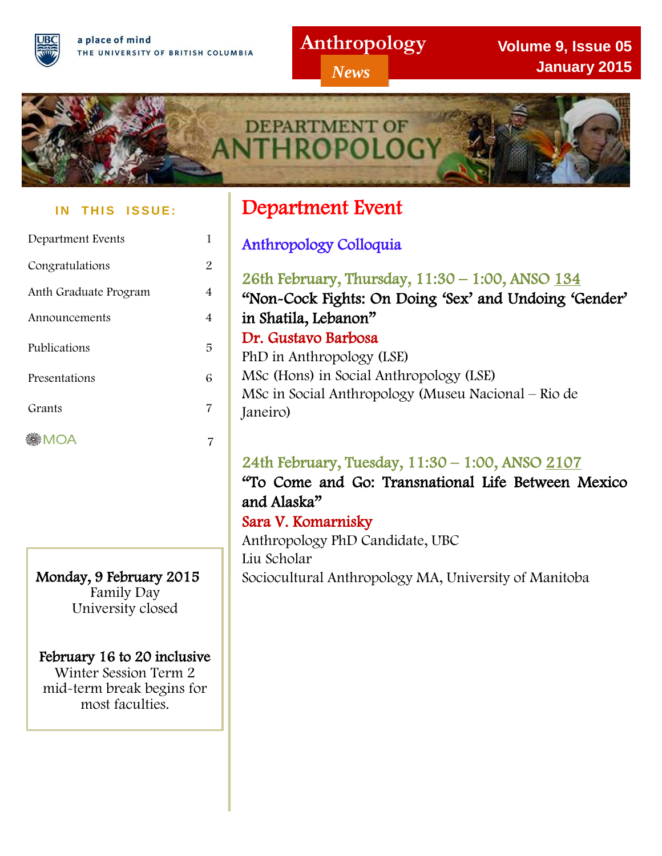## **Anthropology**

*News*

**Volume 9, Issue 05 January 2015**



#### **IN THIS ISSUE:**

| Department Events     |   |
|-----------------------|---|
| Congratulations       | 2 |
| Anth Graduate Program | 4 |
| Announcements         | 4 |
| Publications          | 5 |
| Presentations         | 6 |
| Grants                | 7 |
| <b>MOA</b>            |   |
|                       |   |

Monday, 9 February 2015 Family Day University closed

#### February 16 to 20 inclusive Winter Session Term 2

mid-term break begins for most faculties.

ı

# Department Event

I

Anthropology Colloquia

26th February, Thursday, 11:30 – 1:00, ANSO 134 "Non-Cock Fights: On Doing 'Sex' and Undoing 'Gender' in Shatila, Lebanon" Dr. Gustavo Barbosa PhD in Anthropology (LSE) MSc (Hons) in Social Anthropology (LSE) MSc in Social Anthropology (Museu Nacional – Rio de Janeiro)

## 24th February, Tuesday, 11:30 – 1:00, ANSO 2107

"To Come and Go: Transnational Life Between Mexico and Alaska"

### Sara V. Komarnisky

Anthropology PhD Candidate, UBC Liu Scholar Sociocultural Anthropology MA, University of Manitoba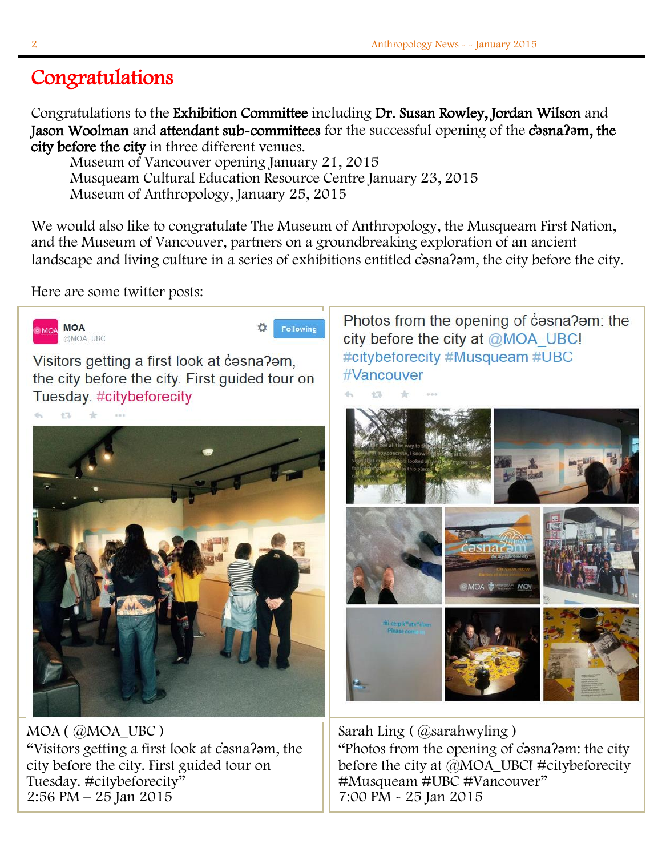### j Congratulations

Congratulations to the Exhibition Committee including Dr. Susan Rowley, Jordan Wilson and Jason Woolman and attendant sub-committees for the successful opening of the c**̓ə**sna**ʔə**m, the city before the city in three different venues.

Museum of Vancouver opening January 21, 2015 Musqueam Cultural Education Resource Centre January 23, 2015 Museum of Anthropology, January 25, 2015

We would also like to congratulate The Museum of Anthropology, the Musqueam First Nation, and the Museum of Vancouver, partners on a groundbreaking exploration of an ancient landscape and living culture in a series of exhibitions entitled c̓əsnaʔəm, the city before the city.

Here are some twitter posts:



MOA ( @MOA\_UBC ) "Visitors getting a first look at c̓əsnaʔəm, the city before the city. First guided tour on Tuesday. #citybeforecity" 2:56 PM – 25 Jan 2015

Photos from the opening of casna?am: the city before the city at @MOA UBC! #citybeforecity #Musqueam #UBC #Vancouver



Sarah Ling ( @sarahwyling ) "Photos from the opening of c̓əsnaʔəm: the city before the city at @MOA\_UBC! #citybeforecity #Musqueam #UBC #Vancouver" 7:00 PM - 25 Jan 2015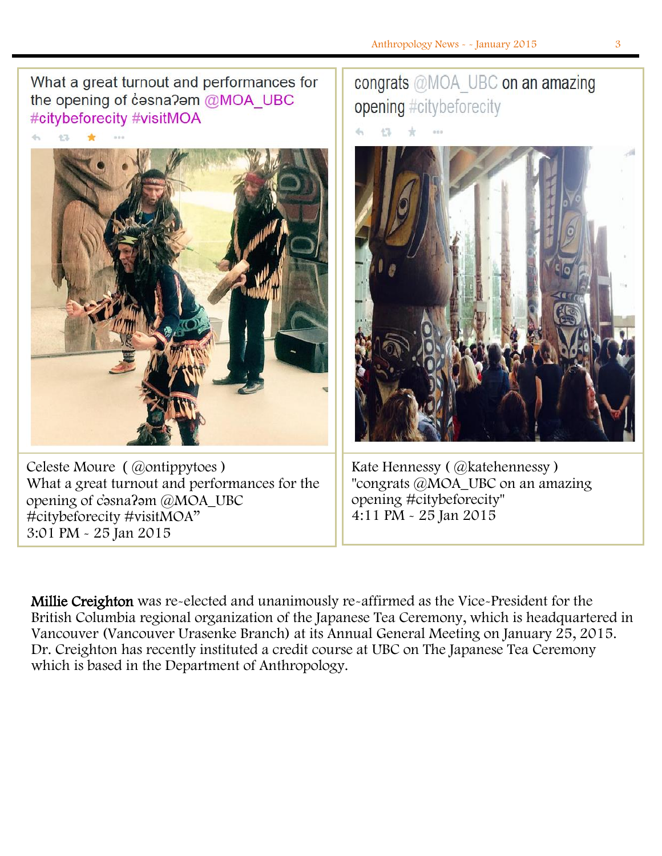What a great turnout and performances for the opening of cosna?om @MOA UBC #citybeforecity #visitMOA



Celeste Moure ( @ontippytoes ) What a great turnout and performances for the opening of c̓əsnaʔəm @MOA\_UBC #citybeforecity #visitMOA" 3:01 PM - 25 Jan 2015

# congrats @MOA UBC on an amazing opening #citybeforecity



Kate Hennessy (@katehennessy) "congrats @MOA\_UBC on an amazing opening #citybeforecity" 4:11 PM - 25 Jan 2015

Millie Creighton was re-elected and unanimously re-affirmed as the Vice-President for the British Columbia regional organization of the Japanese Tea Ceremony, which is headquartered in Vancouver (Vancouver Urasenke Branch) at its Annual General Meeting on January 25, 2015. Dr. Creighton has recently instituted a credit course at UBC on The Japanese Tea Ceremony which is based in the Department of Anthropology.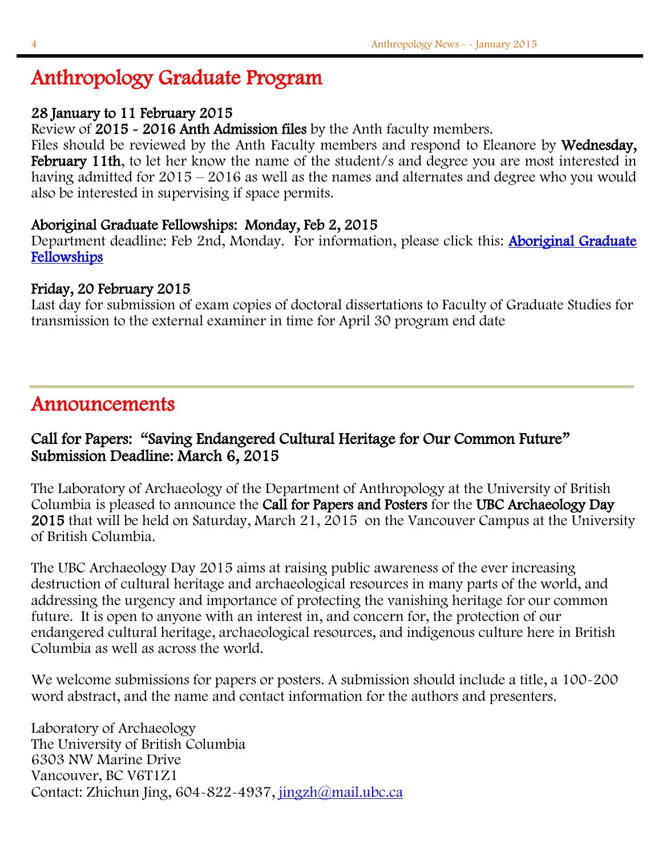# Anthropology Graduate Program

### 28 January to 11 February 2015

Review of 2015 - 2016 Anth Admission files by the Anth faculty members.

Files should be reviewed by the Anth Faculty members and respond to Eleanore by Wednesday, February 11th, to let her know the name of the student/s and degree you are most interested in having admitted for 2015 – 2016 as well as the names and alternates and degree who you would also be interested in supervising if space permits.

#### Aboriginal Graduate Fellowships: Monday, Feb 2, 2015

Department deadline: Feb 2nd, Monday. For information, please click this: Aboriginal Graduate [Fellowships](https://www.grad.ubc.ca/awards/aboriginal-graduate-fellowships) 

### Friday, 20 February 2015

Last day for submission of exam copies of doctoral dissertations to Faculty of Graduate Studies for transmission to the external examiner in time for April 30 program end date

## Announcements

### Call for Papers: "Saving Endangered Cultural Heritage for Our Common Future" Submission Deadline: March 6, 2015

The Laboratory of Archaeology of the Department of Anthropology at the University of British Columbia is pleased to announce the Call for Papers and Posters for the UBC Archaeology Day 2015 that will be held on Saturday, March 21, 2015 on the Vancouver Campus at the University of British Columbia.

The UBC Archaeology Day 2015 aims at raising public awareness of the ever increasing destruction of cultural heritage and archaeological resources in many parts of the world, and addressing the urgency and importance of protecting the vanishing heritage for our common future. It is open to anyone with an interest in, and concern for, the protection of our endangered cultural heritage, archaeological resources, and indigenous culture here in British Columbia as well as across the world.

We welcome submissions for papers or posters. A submission should include a title, a 100-200 word abstract, and the name and contact information for the authors and presenters.

Laboratory of Archaeology The University of British Columbia 6303 NW Marine Drive Vancouver, BC V6T1Z1 Contact: Zhichun Jing, 604-822-4937, [jingzh@mail.ubc.ca](mailto:jingzh@mail.ubc.ca)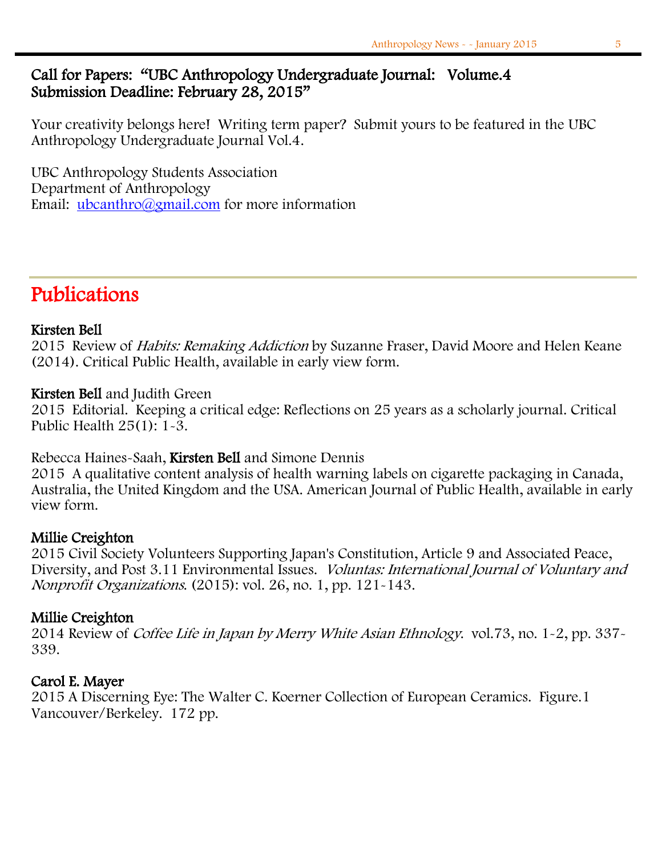Your creativity belongs here! Writing term paper? Submit yours to be featured in the UBC Anthropology Undergraduate Journal Vol.4.

UBC Anthropology Students Association Department of Anthropology Email: [ubcanthro@gmail.com](mailto:ubcanthro@gmail.com) for more information

# Publications

#### Kirsten Bell

2015 Review of *Habits: Remaking Addiction* by Suzanne Fraser, David Moore and Helen Keane (2014). Critical Public Health, available in early view form.

### Kirsten Bell and Judith Green

2015 Editorial. Keeping a critical edge: Reflections on 25 years as a scholarly journal. Critical Public Health 25(1): 1-3.

#### Rebecca Haines-Saah, Kirsten Bell and Simone Dennis

2015 A qualitative content analysis of health warning labels on cigarette packaging in Canada, Australia, the United Kingdom and the USA. American Journal of Public Health, available in early view form.

#### Millie Creighton

2015 Civil Society Volunteers Supporting Japan's Constitution, Article 9 and Associated Peace, Diversity, and Post 3.11 Environmental Issues. Voluntas: International Journal of Voluntary and Nonprofit Organizations. (2015): vol. 26, no. 1, pp. 121-143.

### Millie Creighton

2014 Review of Coffee Life in Japan by Merry White Asian Ethnology. vol.73, no. 1-2, pp. 337- 339.

### Carol E. Mayer

2015 A Discerning Eye: The Walter C. Koerner Collection of European Ceramics. Figure.1 Vancouver/Berkeley. 172 pp.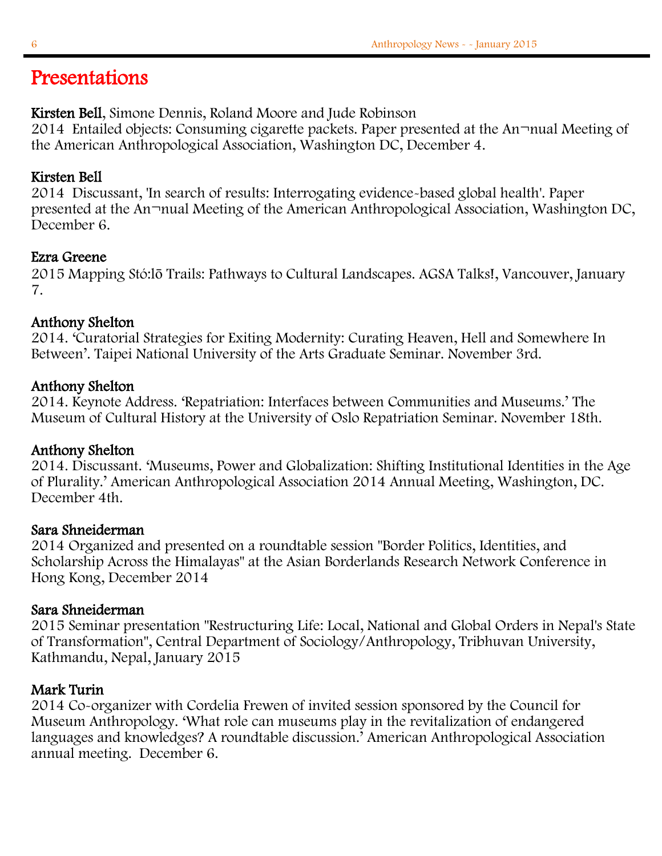## Presentations

#### Kirsten Bell, Simone Dennis, Roland Moore and Jude Robinson

2014 Entailed objects: Consuming cigarette packets. Paper presented at the An¬nual Meeting of the American Anthropological Association, Washington DC, December 4.

### Kirsten Bell

2014 Discussant, 'In search of results: Interrogating evidence-based global health'. Paper presented at the An¬nual Meeting of the American Anthropological Association, Washington DC, December 6.

#### Ezra Greene

2015 Mapping Stó:lō Trails: Pathways to Cultural Landscapes. AGSA Talks!, Vancouver, January 7.

#### Anthony Shelton

2014. 'Curatorial Strategies for Exiting Modernity: Curating Heaven, Hell and Somewhere In Between'. Taipei National University of the Arts Graduate Seminar. November 3rd.

### Anthony Shelton

2014. Keynote Address. 'Repatriation: Interfaces between Communities and Museums.' The Museum of Cultural History at the University of Oslo Repatriation Seminar. November 18th.

#### Anthony Shelton

2014. Discussant. 'Museums, Power and Globalization: Shifting Institutional Identities in the Age of Plurality.' American Anthropological Association 2014 Annual Meeting, Washington, DC. December 4th.

#### Sara Shneiderman

2014 Organized and presented on a roundtable session "Border Politics, Identities, and Scholarship Across the Himalayas" at the Asian Borderlands Research Network Conference in Hong Kong, December 2014

#### Sara Shneiderman

2015 Seminar presentation "Restructuring Life: Local, National and Global Orders in Nepal's State of Transformation", Central Department of Sociology/Anthropology, Tribhuvan University, Kathmandu, Nepal, January 2015

#### Mark Turin

2014 Co-organizer with Cordelia Frewen of invited session sponsored by the Council for Museum Anthropology. 'What role can museums play in the revitalization of endangered languages and knowledges? A roundtable discussion.' American Anthropological Association annual meeting. December 6.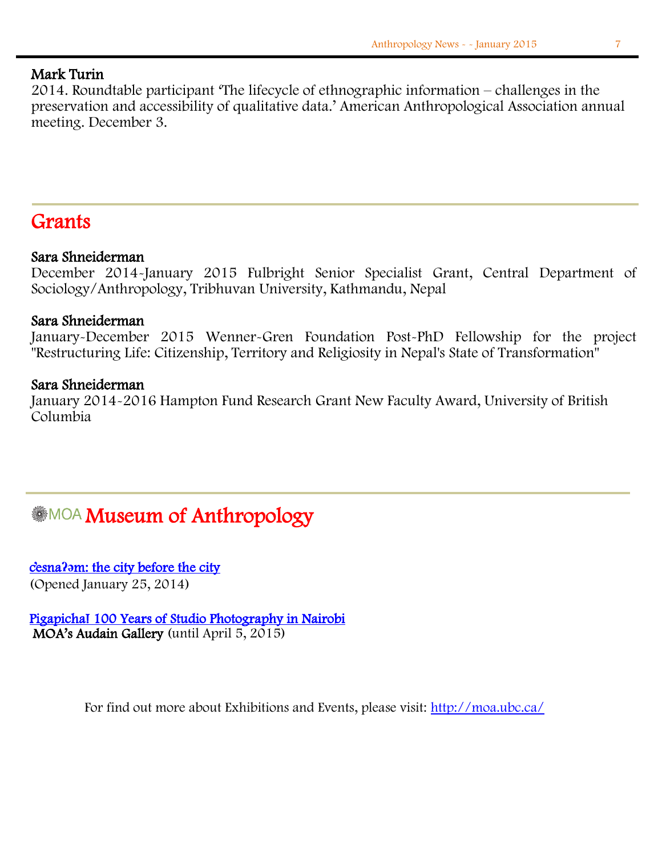#### Mark Turin

2014. Roundtable participant 'The lifecycle of ethnographic information – challenges in the preservation and accessibility of qualitative data.' American Anthropological Association annual meeting. December 3.

## Grants

#### Sara Shneiderman

December 2014-January 2015 Fulbright Senior Specialist Grant, Central Department of Sociology/Anthropology, Tribhuvan University, Kathmandu, Nepal

#### Sara Shneiderman

January-December 2015 Wenner-Gren Foundation Post-PhD Fellowship for the project "Restructuring Life: Citizenship, Territory and Religiosity in Nepal's State of Transformation"

#### Sara Shneiderman

January 2014-2016 Hampton Fund Research Grant New Faculty Award, University of British Columbia

# **MOA Museum of Anthropology**

c**̓**esna**ʔə**[m: the city before the city](http://moa.ubc.ca/portfolio_page/citybeforecity/)  (Opened January 25, 2014)

[Pigapicha! 100 Years of Studio Photography in Nairobi](http://moa.ubc.ca/portfolio_page/pigapicha/)  MOA's Audain Gallery (until April 5, 2015)

For find out more about Exhibitions and Events, please visit:<http://moa.ubc.ca/>